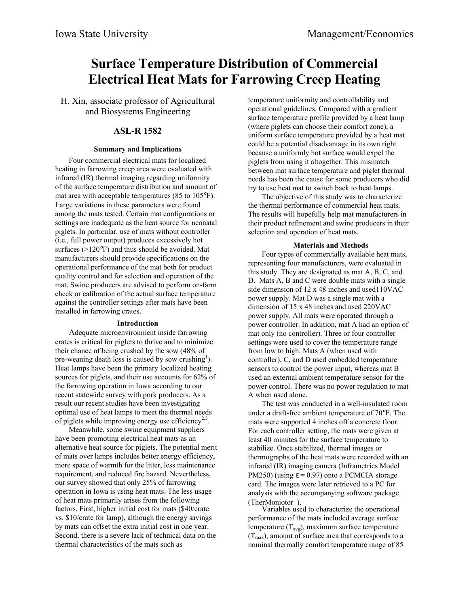# **Surface Temperature Distribution of Commercial Electrical Heat Mats for Farrowing Creep Heating**

H. Xin, associate professor of Agricultural and Biosystems Engineering

## **ASL-R 1582**

## **Summary and Implications**

Four commercial electrical mats for localized heating in farrowing creep area were evaluated with infrared (IR) thermal imaging regarding uniformity of the surface temperature distribution and amount of mat area with acceptable temperatures (85 to 105°F). Large variations in these parameters were found among the mats tested. Certain mat configurations or settings are inadequate as the heat source for neonatal piglets. In particular, use of mats without controller (i.e., full power output) produces excessively hot surfaces (>120°F) and thus should be avoided. Mat manufacturers should provide specifications on the operational performance of the mat both for product quality control and for selection and operation of the mat. Swine producers are advised to perform on-farm check or calibration of the actual surface temperature against the controller settings after mats have been installed in farrowing crates.

#### **Introduction**

Adequate microenvironment inside farrowing crates is critical for piglets to thrive and to minimize their chance of being crushed by the sow (48% of pre-weaning death loss is caused by sow crushing<sup>1</sup>). Heat lamps have been the primary localized heating sources for piglets, and their use accounts for 62% of the farrowing operation in Iowa according to our recent statewide survey with pork producers. As a result our recent studies have been investigating optimal use of heat lamps to meet the thermal needs of piglets while improving energy use efficiency<sup>2,3</sup>.

Meanwhile, some swine equipment suppliers have been promoting electrical heat mats as an alternative heat source for piglets. The potential merit of mats over lamps includes better energy efficiency, more space of warmth for the litter, less maintenance requirement, and reduced fire hazard. Nevertheless, our survey showed that only 25% of farrowing operation in Iowa is using heat mats. The less usage of heat mats primarily arises from the following factors. First, higher initial cost for mats (\$40/crate vs. \$10/crate for lamp), although the energy savings by mats can offset the extra initial cost in one year. Second, there is a severe lack of technical data on the thermal characteristics of the mats such as

temperature uniformity and controllability and operational guidelines. Compared with a gradient surface temperature profile provided by a heat lamp (where piglets can choose their comfort zone), a uniform surface temperature provided by a heat mat could be a potential disadvantage in its own right because a uniformly hot surface would expel the piglets from using it altogether. This mismatch between mat surface temperature and piglet thermal needs has been the cause for some producers who did try to use heat mat to switch back to heat lamps.

The objective of this study was to characterize the thermal performance of commercial heat mats. The results will hopefully help mat manufacturers in their product refinement and swine producers in their selection and operation of heat mats.

#### **Materials and Methods**

Four types of commercially available heat mats, representing four manufacturers, were evaluated in this study. They are designated as mat A, B, C, and D. Mats A, B and C were double mats with a single side dimension of 12 x 48 inches and used110VAC power supply. Mat D was a single mat with a dimension of 15 x 48 inches and used 220VAC power supply. All mats were operated through a power controller. In addition, mat A had an option of mat only (no controller). Three or four controller settings were used to cover the temperature range from low to high. Mats A (when used with controller), C, and D used embedded temperature sensors to control the power input, whereas mat B used an external ambient temperature sensor for the power control. There was no power regulation to mat A when used alone.

The test was conducted in a well-insulated room under a draft-free ambient temperature of 70°F. The mats were supported 4 inches off a concrete floor. For each controller setting, the mats were given at least 40 minutes for the surface temperature to stabilize. Once stabilized, thermal images or thermographs of the heat mats were recorded with an infrared (IR) imaging camera (Inframetrics Model PM250) (using  $\epsilon$  = 0.97) onto a PCMCIA storage card. The images were later retrieved to a PC for analysis with the accompanying software package  $(TherMoniotor<sup>®</sup>)$ .

Variables used to characterize the operational performance of the mats included average surface temperature  $(T_{avg})$ , maximum surface temperature  $(T<sub>max</sub>)$ , amount of surface area that corresponds to a nominal thermally comfort temperature range of 85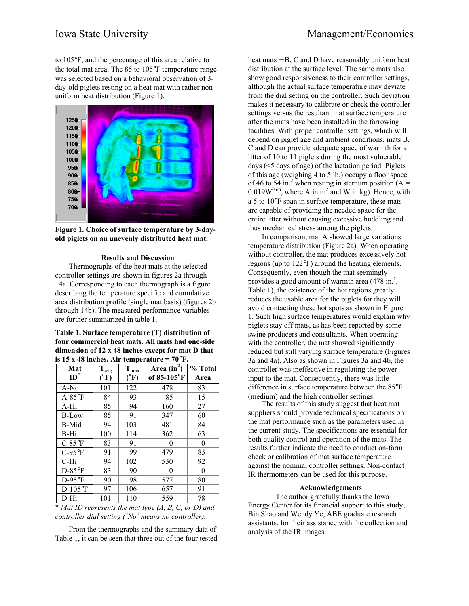to 105°F, and the percentage of this area relative to the total mat area. The 85 to 105°F temperature range was selected based on a behavioral observation of 3 day-old piglets resting on a heat mat with rather nonuniform heat distribution (Figure 1).



**Figure 1. Choice of surface temperature by 3-dayold piglets on an unevenly distributed heat mat.**

#### **Results and Discussion**

Thermographs of the heat mats at the selected controller settings are shown in figures 2a through 14a. Corresponding to each thermograph is a figure describing the temperature specific and cumulative area distribution profile (single mat basis) (figures 2b through 14b). The measured performance variables are further summarized in table 1.

#### **Table 1. Surface temperature (T) distribution of four commercial heat mats. All mats had one-side dimension of 12 x 48 inches except for mat D that** is  $15 \times 48$  inches. Air temperature  $= 70^{\circ}$ F.

| Mat<br>$ID^*$ | $\mathbf{T}_{\text{avg}}$<br>$(^oF)$ | $\mathbf{T}_{\text{max}}$<br>$(^{\circ}F)$ | Area $(in^2)$<br>of 85-105°F | % Total<br>Area |
|---------------|--------------------------------------|--------------------------------------------|------------------------------|-----------------|
| A-No          | 101                                  | 122                                        | 478                          | 83              |
| $A-85$ °F     | 84                                   | 93                                         | 85                           | 15              |
| A-Hi          | 85                                   | 94                                         | 160                          | 27              |
| B-Low         | 85                                   | 91                                         | 347                          | 60              |
| <b>B-Mid</b>  | 94                                   | 103                                        | 481                          | 84              |
| B-Hi          | 100                                  | 114                                        | 362                          | 63              |
| $C-85$ °F     | 83                                   | 91                                         | 0                            | $\theta$        |
| $C-95$ °F     | 91                                   | 99                                         | 479                          | 83              |
| C-Hi          | 94                                   | 102                                        | 530                          | 92              |
| $D-85$ °F     | 83                                   | 90                                         | 0                            | 0               |
| $D-95$ °F     | 90                                   | 98                                         | 577                          | 80              |
| $D-105$ °F    | 97                                   | 106                                        | 657                          | 91              |
| D-Hi          | 101                                  | 110                                        | 559                          | 78              |

\* *Mat ID represents the mat type (A, B, C, or D) and controller dial setting ('No' means no controller).*

From the thermographs and the summary data of Table 1, it can be seen that three out of the four tested heat mats – B, C and D have reasonably uniform heat distribution at the surface level. The same mats also show good responsiveness to their controller settings, although the actual surface temperature may deviate from the dial setting on the controller. Such deviation makes it necessary to calibrate or check the controller settings versus the resultant mat surface temperature after the mats have been installed in the farrowing facilities. With proper controller settings, which will depend on piglet age and ambient conditions, mats B, C and D can provide adequate space of warmth for a litter of 10 to 11 piglets during the most vulnerable days (<5 days of age) of the lactation period. Piglets of this age (weighing 4 to 5 lb.) occupy a floor space of 46 to 54 in.<sup>2</sup> when resting in sternum position (A =  $0.019W^{0.66}$ , where A in m<sup>2</sup> and W in kg). Hence, with a 5 to 10°F span in surface temperature, these mats are capable of providing the needed space for the entire litter without causing excessive huddling and thus mechanical stress among the piglets.

In comparison, mat A showed large variations in temperature distribution (Figure 2a). When operating without controller, the mat produces excessively hot regions (up to 122°F) around the heating elements. Consequently, even though the mat seemingly provides a good amount of warmth area  $(478 \text{ in.}^2)$ . Table 1), the existence of the hot regions greatly reduces the usable area for the piglets for they will avoid contacting these hot spots as shown in Figure 1. Such high surface temperatures would explain why piglets stay off mats, as has been reported by some swine producers and consultants. When operating with the controller, the mat showed significantly reduced but still varying surface temperature (Figures 3a and 4a). Also as shown in Figures 3a and 4b, the controller was ineffective in regulating the power input to the mat. Consequently, there was little difference in surface temperature between the 85°F (medium) and the high controller settings.

The results of this study suggest that heat mat suppliers should provide technical specifications on the mat performance such as the parameters used in the current study. The specifications are essential for both quality control and operation of the mats. The results further indicate the need to conduct on-farm check or calibration of mat surface temperature against the nominal controller settings. Non-contact IR thermometers can be used for this purpose.

#### **Acknowledgements**

The author gratefully thanks the Iowa Energy Center for its financial support to this study; Bin Shao and Wendy Ye, ABE graduate research assistants, for their assistance with the collection and analysis of the IR images.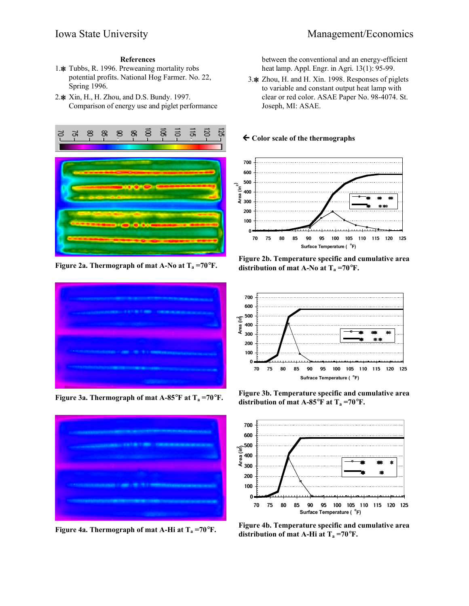## **References**

- 1. Tubbs, R. 1996. Preweaning mortality robs potential profits. National Hog Farmer. No. 22, Spring 1996.
- 2.  $\text{\# Xin}$ , H., H. Zhou, and D.S. Bundy. 1997. Comparison of energy use and piglet performance



**Figure 2a. Thermograph of mat A-No at**  $T_a = 70^\circ F$ **.** 





between the conventional and an energy-efficient heat lamp. Appl. Engr. in Agri.  $13(1)$ : 95-99.

3. X Zhou, H. and H. Xin. 1998. Responses of piglets to variable and constant output heat lamp with clear or red color. ASAE Paper No. 98-4074. St. Joseph, MI: ASAE.

#### **← Color scale of the thermographs**



**Figure 2b. Temperature specific and cumulative area distribution of mat A-No at**  $T_a = 70^\circ F$ **.** 



**Figure 3a. Thermograph of mat A-85°F at T<sub>a</sub> =70°F.** Figure 3b. Temperature specific and cumulative area **distribution of mat A-85°F at**  $T_a = 70$ **°F.** 



**Figure 4a. Thermograph of mat A-Hi at**  $T_a = 70^\circ F$ **. Figure 4b. Temperature specific and cumulative area distribution of mat A-Hi at**  $T_a = 70^\circ F$ **.**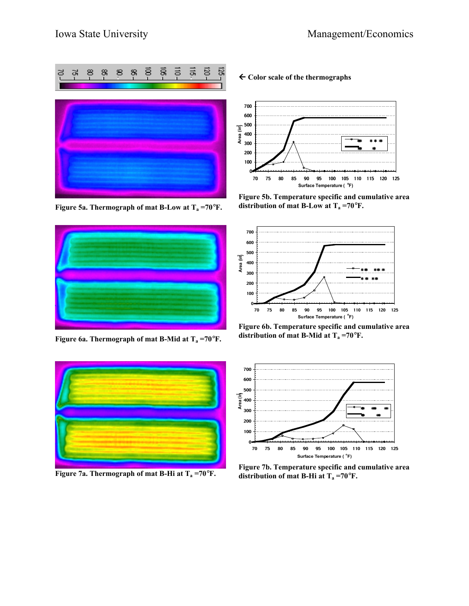

**Figure 5a. Thermograph of mat B-Low at**  $T_a = 70$ **°F.** 



**Figure 6a. Thermograph of mat B-Mid at**  $T_a = 70$ **°F.** 



## fl **Color scale of the thermographs**



**Figure 5b. Temperature specific and cumulative area distribution of mat B-Low at**  $T_a = 70^\circ F$ **.** 



**Figure 6b. Temperature specific and cumulative area distribution of mat B-Mid at**  $T_a = 70^\circ F$ **.** 



**Figure 7b. Temperature specific and cumulative area**<br>**Figure 7a. Thermograph of mat B-Hi at T<sub>a</sub> =70<sup>°</sup>F. distribution of mat B-Hi at T<sub>a</sub> =70°F. distribution of mat B-Hi at**  $T_a = 70^\circ F$ **.**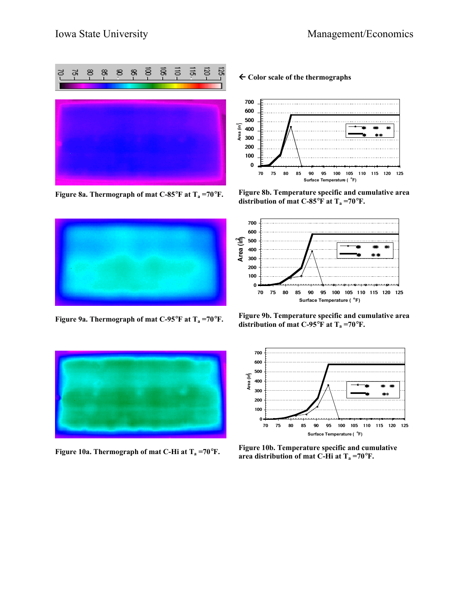





## fl **Color scale of the thermographs**



**Figure 8a. Thermograph of mat C-85**°**F at Ta =70**°**F. Figure 8b. Temperature specific and cumulative area distribution of mat C-85°F at**  $T_a = 70$ **°F.** 



**Figure 9a. Thermograph of mat C-95°F at T<sub>a</sub> =70°F. Figure 9b. Temperature specific and cumulative area**<br>distribution of mat C 05°F et T -70°F. **distribution of mat C-95°F at**  $T_a = 70$ **°F.** 



**Figure 10a. Thermograph of mat C-Hi at T<sub>a</sub> =70°F. Figure 10b. Temperature specific and cumulative Figure 10a. Thermograph of mat C-Hi at T<sub>a</sub> =70°F** area distribution of mat C-Hi at  $T_a = 70^\circ F$ .